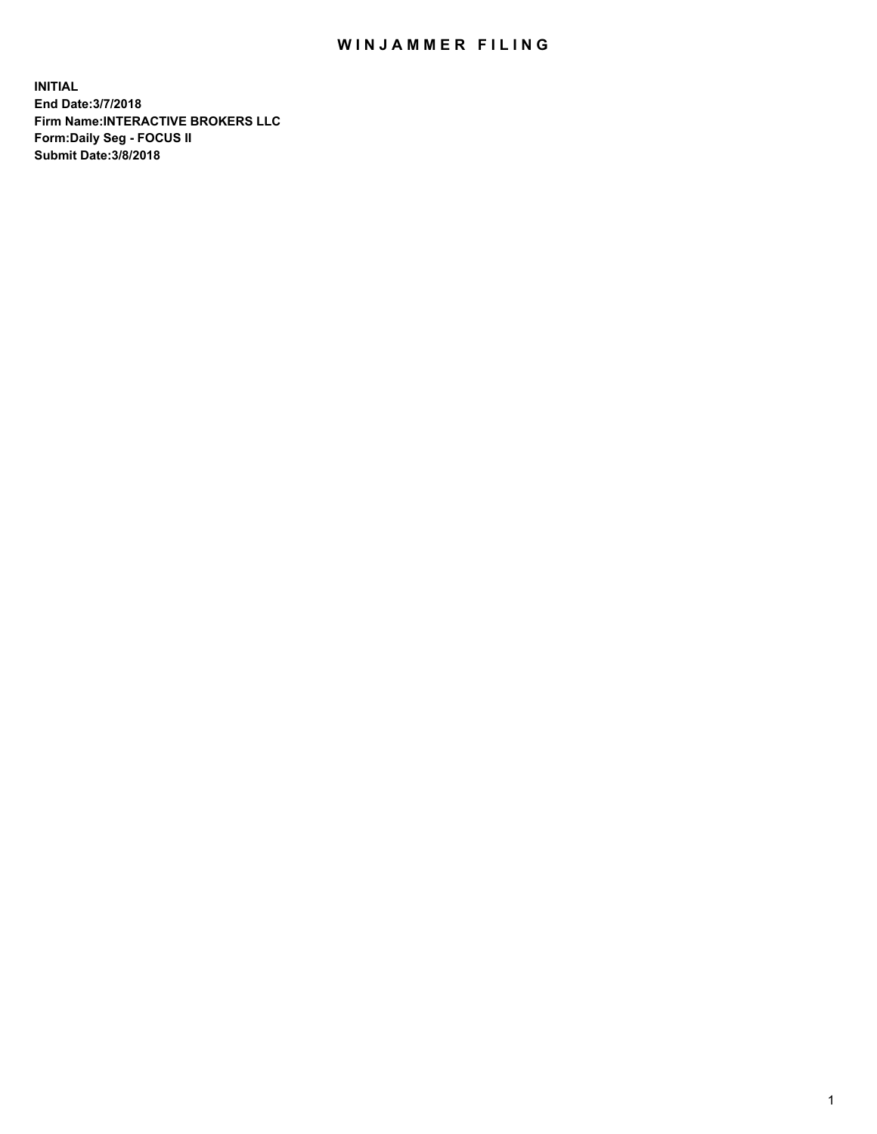## WIN JAMMER FILING

**INITIAL End Date:3/7/2018 Firm Name:INTERACTIVE BROKERS LLC Form:Daily Seg - FOCUS II Submit Date:3/8/2018**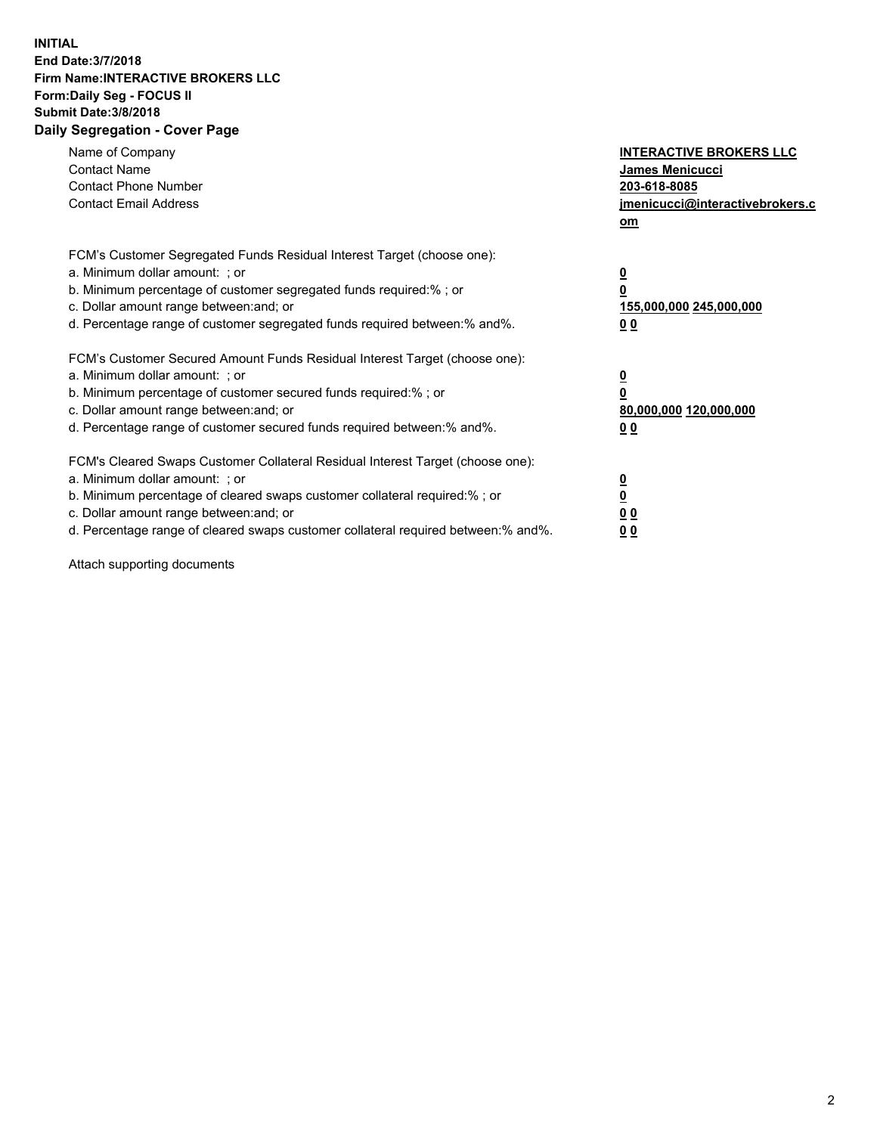## **INITIAL End Date:3/7/2018 Firm Name:INTERACTIVE BROKERS LLC Form:Daily Seg - FOCUS II Submit Date:3/8/2018 Daily Segregation - Cover Page**

| Name of Company<br><b>Contact Name</b><br><b>Contact Phone Number</b><br><b>Contact Email Address</b>                                                                                                                                                                                                                          | <b>INTERACTIVE BROKERS LLC</b><br>James Menicucci<br>203-618-8085<br>jmenicucci@interactivebrokers.c<br>om |
|--------------------------------------------------------------------------------------------------------------------------------------------------------------------------------------------------------------------------------------------------------------------------------------------------------------------------------|------------------------------------------------------------------------------------------------------------|
| FCM's Customer Segregated Funds Residual Interest Target (choose one):<br>a. Minimum dollar amount: ; or<br>b. Minimum percentage of customer segregated funds required:%; or<br>c. Dollar amount range between: and; or<br>d. Percentage range of customer segregated funds required between:% and%.                          | $\overline{\mathbf{0}}$<br>$\overline{\mathbf{0}}$<br>155,000,000 245,000,000<br>00                        |
| FCM's Customer Secured Amount Funds Residual Interest Target (choose one):<br>a. Minimum dollar amount: ; or<br>b. Minimum percentage of customer secured funds required:%; or<br>c. Dollar amount range between: and; or<br>d. Percentage range of customer secured funds required between: % and %.                          | $\overline{\mathbf{0}}$<br>$\mathbf 0$<br>80,000,000 120,000,000<br>00                                     |
| FCM's Cleared Swaps Customer Collateral Residual Interest Target (choose one):<br>a. Minimum dollar amount: ; or<br>b. Minimum percentage of cleared swaps customer collateral required:% ; or<br>c. Dollar amount range between: and; or<br>d. Percentage range of cleared swaps customer collateral required between:% and%. | $\overline{\mathbf{0}}$<br>$\underline{\mathbf{0}}$<br>0 <sub>0</sub><br>0 <sub>0</sub>                    |

Attach supporting documents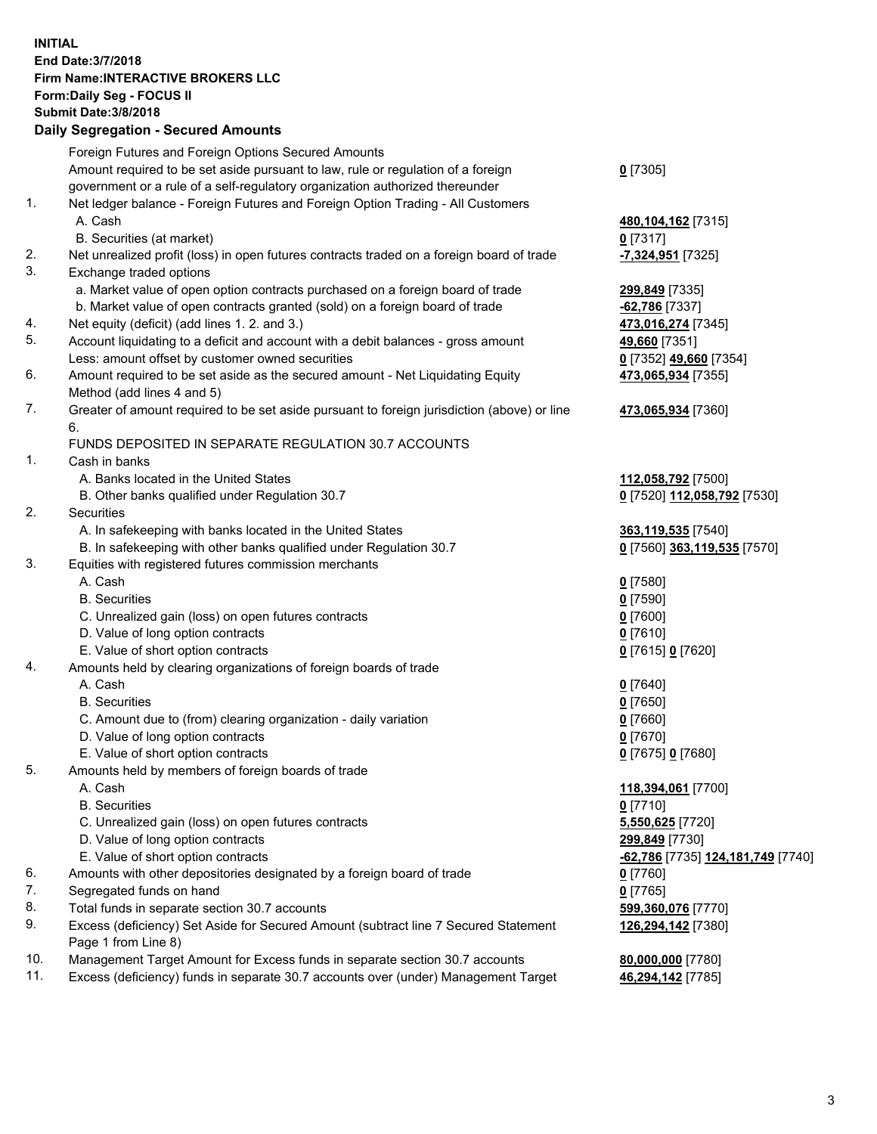## **INITIAL End Date:3/7/2018 Firm Name:INTERACTIVE BROKERS LLC Form:Daily Seg - FOCUS II Submit Date:3/8/2018 Daily Segregation - Secured Amounts**

|     | <b>Pany Obyroganon</b> Obbarba Annoann                                                      |                                                       |
|-----|---------------------------------------------------------------------------------------------|-------------------------------------------------------|
|     | Foreign Futures and Foreign Options Secured Amounts                                         |                                                       |
|     | Amount required to be set aside pursuant to law, rule or regulation of a foreign            | $0$ [7305]                                            |
|     | government or a rule of a self-regulatory organization authorized thereunder                |                                                       |
| 1.  | Net ledger balance - Foreign Futures and Foreign Option Trading - All Customers             |                                                       |
|     | A. Cash                                                                                     | 480,104,162 [7315]                                    |
|     | B. Securities (at market)                                                                   | $0$ [7317]                                            |
| 2.  | Net unrealized profit (loss) in open futures contracts traded on a foreign board of trade   | <mark>-7,324,951</mark> [7325]                        |
| 3.  | Exchange traded options                                                                     |                                                       |
|     | a. Market value of open option contracts purchased on a foreign board of trade              | 299,849 [7335]                                        |
|     | b. Market value of open contracts granted (sold) on a foreign board of trade                | -62,786 [7337]                                        |
| 4.  | Net equity (deficit) (add lines 1.2. and 3.)                                                | 473,016,274 [7345]                                    |
| 5.  | Account liquidating to a deficit and account with a debit balances - gross amount           | 49,660 [7351]                                         |
|     | Less: amount offset by customer owned securities                                            | 0 [7352] 49,660 [7354]                                |
| 6.  | Amount required to be set aside as the secured amount - Net Liquidating Equity              | 473,065,934 [7355]                                    |
|     | Method (add lines 4 and 5)                                                                  |                                                       |
| 7.  | Greater of amount required to be set aside pursuant to foreign jurisdiction (above) or line | 473,065,934 [7360]                                    |
|     | 6.                                                                                          |                                                       |
|     | FUNDS DEPOSITED IN SEPARATE REGULATION 30.7 ACCOUNTS                                        |                                                       |
| 1.  | Cash in banks                                                                               |                                                       |
|     | A. Banks located in the United States                                                       | 112,058,792 [7500]                                    |
|     | B. Other banks qualified under Regulation 30.7                                              | 0 [7520] 112,058,792 [7530]                           |
| 2.  | Securities                                                                                  |                                                       |
|     | A. In safekeeping with banks located in the United States                                   | 363,119,535 [7540]                                    |
|     | B. In safekeeping with other banks qualified under Regulation 30.7                          | 0 [7560] 363,119,535 [7570]                           |
| 3.  | Equities with registered futures commission merchants                                       |                                                       |
|     | A. Cash                                                                                     | $0$ [7580]                                            |
|     | <b>B.</b> Securities                                                                        | $0$ [7590]                                            |
|     | C. Unrealized gain (loss) on open futures contracts                                         | $0$ [7600]                                            |
|     | D. Value of long option contracts                                                           | $0$ [7610]                                            |
|     | E. Value of short option contracts                                                          | 0 [7615] 0 [7620]                                     |
| 4.  | Amounts held by clearing organizations of foreign boards of trade                           |                                                       |
|     | A. Cash                                                                                     | $0$ [7640]                                            |
|     | <b>B.</b> Securities                                                                        | $0$ [7650]                                            |
|     | C. Amount due to (from) clearing organization - daily variation                             | $0$ [7660]                                            |
|     | D. Value of long option contracts                                                           | $0$ [7670]                                            |
|     | E. Value of short option contracts                                                          | 0 [7675] 0 [7680]                                     |
| 5.  | Amounts held by members of foreign boards of trade                                          |                                                       |
|     | A. Cash                                                                                     | 118,394,061 [7700]                                    |
|     | <b>B.</b> Securities                                                                        | $0$ [7710]                                            |
|     | C. Unrealized gain (loss) on open futures contracts                                         | 5,550,625 [7720]                                      |
|     | D. Value of long option contracts                                                           | 299,849 [7730]                                        |
|     | E. Value of short option contracts                                                          | <mark>-62,786</mark> [7735] <u>124,181,749</u> [7740] |
| 6.  | Amounts with other depositories designated by a foreign board of trade                      | 0 [7760]                                              |
| 7.  | Segregated funds on hand                                                                    | $0$ [7765]                                            |
| 8.  | Total funds in separate section 30.7 accounts                                               | 599,360,076 [7770]                                    |
| 9.  | Excess (deficiency) Set Aside for Secured Amount (subtract line 7 Secured Statement         | 126,294,142 [7380]                                    |
|     | Page 1 from Line 8)                                                                         |                                                       |
| 10. | Management Target Amount for Excess funds in separate section 30.7 accounts                 | 80,000,000 [7780]                                     |
| 11. | Excess (deficiency) funds in separate 30.7 accounts over (under) Management Target          | 46,294,142 [7785]                                     |
|     |                                                                                             |                                                       |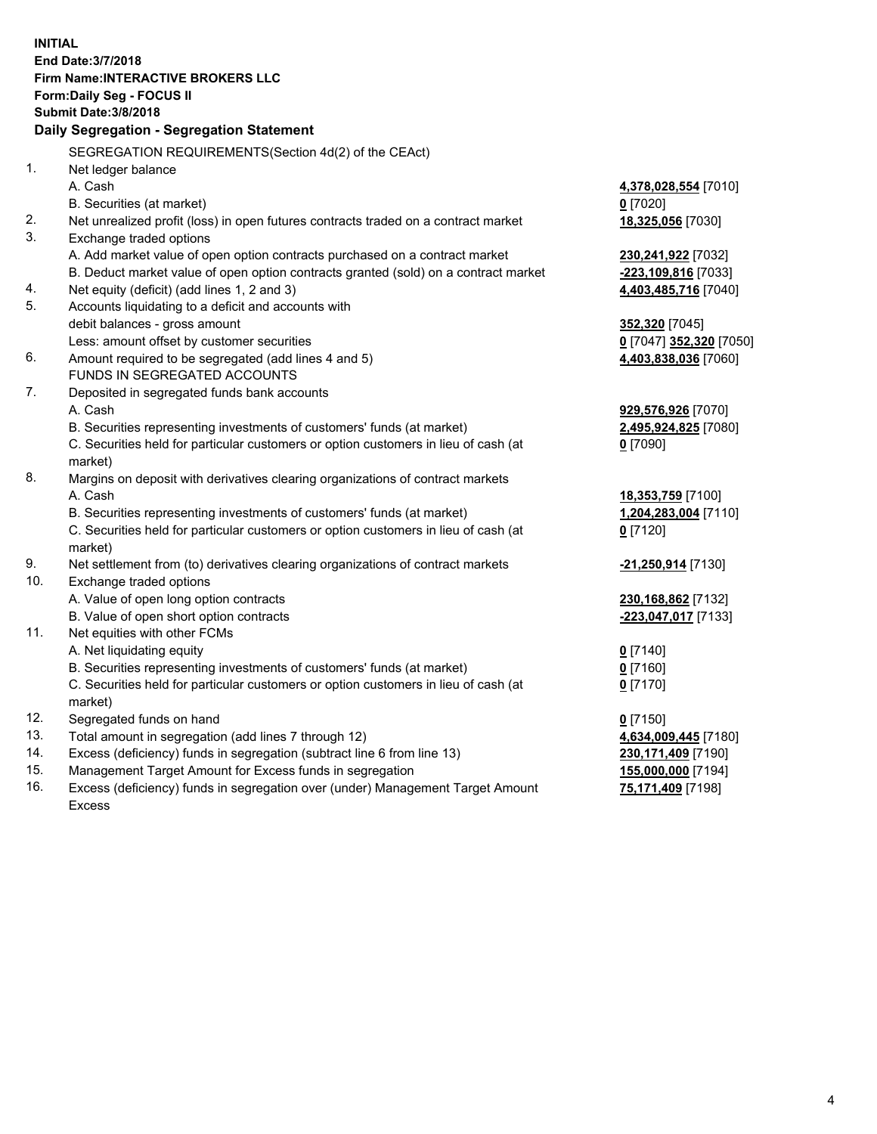**INITIAL End Date:3/7/2018 Firm Name:INTERACTIVE BROKERS LLC Form:Daily Seg - FOCUS II Submit Date:3/8/2018 Daily Segregation - Segregation Statement** SEGREGATION REQUIREMENTS(Section 4d(2) of the CEAct) 1. Net ledger balance A. Cash **4,378,028,554** [7010] B. Securities (at market) **0** [7020] 2. Net unrealized profit (loss) in open futures contracts traded on a contract market **18,325,056** [7030] 3. Exchange traded options A. Add market value of open option contracts purchased on a contract market **230,241,922** [7032] B. Deduct market value of open option contracts granted (sold) on a contract market **-223,109,816** [7033] 4. Net equity (deficit) (add lines 1, 2 and 3) **4,403,485,716** [7040] 5. Accounts liquidating to a deficit and accounts with debit balances - gross amount **352,320** [7045] Less: amount offset by customer securities **0** [7047] **352,320** [7050] 6. Amount required to be segregated (add lines 4 and 5) **4,403,838,036** [7060] FUNDS IN SEGREGATED ACCOUNTS 7. Deposited in segregated funds bank accounts A. Cash **929,576,926** [7070] B. Securities representing investments of customers' funds (at market) **2,495,924,825** [7080] C. Securities held for particular customers or option customers in lieu of cash (at market) **0** [7090] 8. Margins on deposit with derivatives clearing organizations of contract markets A. Cash **18,353,759** [7100] B. Securities representing investments of customers' funds (at market) **1,204,283,004** [7110] C. Securities held for particular customers or option customers in lieu of cash (at market) **0** [7120] 9. Net settlement from (to) derivatives clearing organizations of contract markets **-21,250,914** [7130] 10. Exchange traded options A. Value of open long option contracts **230,168,862** [7132] B. Value of open short option contracts **-223,047,017** [7133] 11. Net equities with other FCMs A. Net liquidating equity **0** [7140] B. Securities representing investments of customers' funds (at market) **0** [7160] C. Securities held for particular customers or option customers in lieu of cash (at market) **0** [7170] 12. Segregated funds on hand **0** [7150] 13. Total amount in segregation (add lines 7 through 12) **4,634,009,445** [7180] 14. Excess (deficiency) funds in segregation (subtract line 6 from line 13) **230,171,409** [7190] 15. Management Target Amount for Excess funds in segregation **155,000,000** [7194]

16. Excess (deficiency) funds in segregation over (under) Management Target Amount Excess

**75,171,409** [7198]